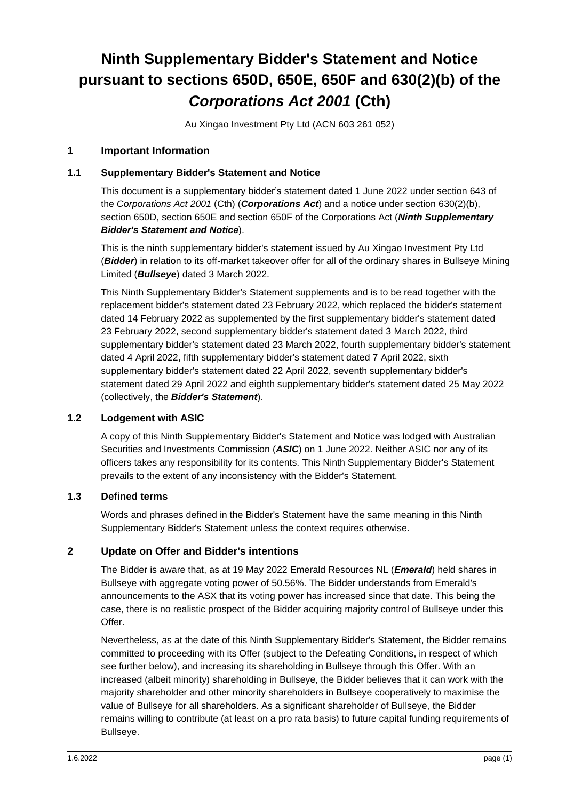# **Ninth Supplementary Bidder's Statement and Notice pursuant to sections 650D, 650E, 650F and 630(2)(b) of the**  *Corporations Act 2001* **(Cth)**

Au Xingao Investment Pty Ltd (ACN 603 261 052)

## **1 Important Information**

# **1.1** Supplementary Bidder's Statement and Notice

This document is a supplementary bidder's statement dated 1 June 2022 under section 643 of the *Corporations Act 2001* (Cth) (*Corporations Act*) and a notice under section 630(2)(b), section 650D, section 650E and section 650F of the Corporations Act (*Ninth Supplementary Bidder's Statement and Notice*).

This is the ninth supplementary bidder's statement issued by Au Xingao Investment Pty Ltd (*Bidder*) in relation to its off-market takeover offer for all of the ordinary shares in Bullseye Mining Limited (*Bullseye*) dated 3 March 2022.

This Ninth Supplementary Bidder's Statement supplements and is to be read together with the replacement bidder's statement dated 23 February 2022, which replaced the bidder's statement dated 14 February 2022 as supplemented by the first supplementary bidder's statement dated 23 February 2022, second supplementary bidder's statement dated 3 March 2022, third supplementary bidder's statement dated 23 March 2022, fourth supplementary bidder's statement dated 4 April 2022, fifth supplementary bidder's statement dated 7 April 2022, sixth supplementary bidder's statement dated 22 April 2022, seventh supplementary bidder's statement dated 29 April 2022 and eighth supplementary bidder's statement dated 25 May 2022 (collectively, the *Bidder's Statement*).

## **1.2 Lodgement with ASIC**

A copy of this Ninth Supplementary Bidder's Statement and Notice was lodged with Australian Securities and Investments Commission (*ASIC*) on 1 June 2022. Neither ASIC nor any of its officers takes any responsibility for its contents. This Ninth Supplementary Bidder's Statement prevails to the extent of any inconsistency with the Bidder's Statement.

## **1.3 Defined terms**

Words and phrases defined in the Bidder's Statement have the same meaning in this Ninth Supplementary Bidder's Statement unless the context requires otherwise.

## **2 Update on Offer and Bidder's intentions**

The Bidder is aware that, as at 19 May 2022 Emerald Resources NL (*Emerald*) held shares in Bullseye with aggregate voting power of 50.56%. The Bidder understands from Emerald's announcements to the ASX that its voting power has increased since that date. This being the case, there is no realistic prospect of the Bidder acquiring majority control of Bullseye under this **Offer** 

Nevertheless, as at the date of this Ninth Supplementary Bidder's Statement, the Bidder remains committed to proceeding with its Offer (subject to the Defeating Conditions, in respect of which see further below), and increasing its shareholding in Bullseye through this Offer. With an increased (albeit minority) shareholding in Bullseye, the Bidder believes that it can work with the majority shareholder and other minority shareholders in Bullseye cooperatively to maximise the value of Bullseye for all shareholders. As a significant shareholder of Bullseye, the Bidder remains willing to contribute (at least on a pro rata basis) to future capital funding requirements of Bullseye.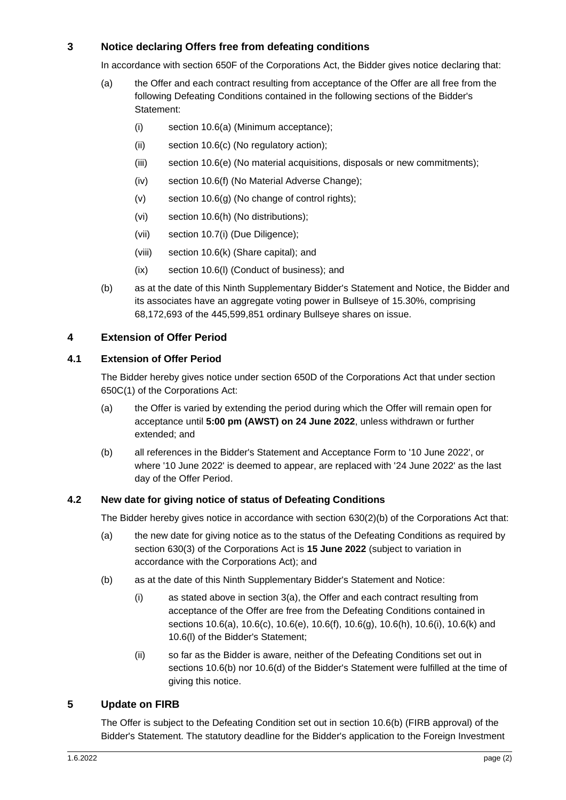## <span id="page-1-0"></span>**3 Notice declaring Offers free from defeating conditions**

In accordance with section 650F of the Corporations Act, the Bidder gives notice declaring that:

- (a) the Offer and each contract resulting from acceptance of the Offer are all free from the following Defeating Conditions contained in the following sections of the Bidder's Statement:
	- (i) section 10.6(a) (Minimum acceptance);
	- (ii) section 10.6(c) (No regulatory action);
	- (iii) section 10.6(e) (No material acquisitions, disposals or new commitments);
	- (iv) section 10.6(f) (No Material Adverse Change);
	- (v) section 10.6(g) (No change of control rights);
	- (vi) section 10.6(h) (No distributions);
	- (vii) section 10.7(i) (Due Diligence);
	- (viii) section 10.6(k) (Share capital); and
	- (ix) section 10.6(l) (Conduct of business); and
- (b) as at the date of this Ninth Supplementary Bidder's Statement and Notice, the Bidder and its associates have an aggregate voting power in Bullseye of 15.30%, comprising 68,172,693 of the 445,599,851 ordinary Bullseye shares on issue.

### **4 Extension of Offer Period**

#### **4.1 Extension of Offer Period**

The Bidder hereby gives notice under section 650D of the Corporations Act that under section 650C(1) of the Corporations Act:

- (a) the Offer is varied by extending the period during which the Offer will remain open for acceptance until **5:00 pm (AWST) on 24 June 2022**, unless withdrawn or further extended; and
- (b) all references in the Bidder's Statement and Acceptance Form to '10 June 2022', or where '10 June 2022' is deemed to appear, are replaced with '24 June 2022' as the last day of the Offer Period.

#### **4.2 New date for giving notice of status of Defeating Conditions**

The Bidder hereby gives notice in accordance with section 630(2)(b) of the Corporations Act that:

- (a) the new date for giving notice as to the status of the Defeating Conditions as required by section 630(3) of the Corporations Act is **15 June 2022** (subject to variation in accordance with the Corporations Act); and
- (b) as at the date of this Ninth Supplementary Bidder's Statement and Notice:
	- (i) as stated above in section [3\(a\),](#page-1-0) the Offer and each contract resulting from acceptance of the Offer are free from the Defeating Conditions contained in sections 10.6(a), 10.6(c), 10.6(e), 10.6(f), 10.6(g), 10.6(h), 10.6(i), 10.6(k) and 10.6(l) of the Bidder's Statement;
	- (ii) so far as the Bidder is aware, neither of the Defeating Conditions set out in sections 10.6(b) nor 10.6(d) of the Bidder's Statement were fulfilled at the time of giving this notice.

## **5 Update on FIRB**

The Offer is subject to the Defeating Condition set out in section 10.6(b) (FIRB approval) of the Bidder's Statement. The statutory deadline for the Bidder's application to the Foreign Investment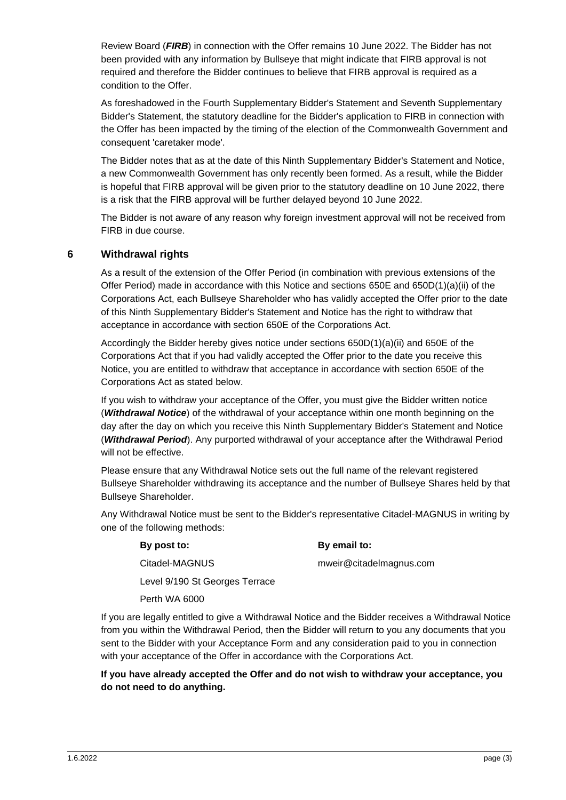Review Board (*FIRB*) in connection with the Offer remains 10 June 2022. The Bidder has not been provided with any information by Bullseye that might indicate that FIRB approval is not required and therefore the Bidder continues to believe that FIRB approval is required as a condition to the Offer.

As foreshadowed in the Fourth Supplementary Bidder's Statement and Seventh Supplementary Bidder's Statement, the statutory deadline for the Bidder's application to FIRB in connection with the Offer has been impacted by the timing of the election of the Commonwealth Government and consequent 'caretaker mode'.

The Bidder notes that as at the date of this Ninth Supplementary Bidder's Statement and Notice, a new Commonwealth Government has only recently been formed. As a result, while the Bidder is hopeful that FIRB approval will be given prior to the statutory deadline on 10 June 2022, there is a risk that the FIRB approval will be further delayed beyond 10 June 2022.

The Bidder is not aware of any reason why foreign investment approval will not be received from FIRB in due course.

## **6 Withdrawal rights**

As a result of the extension of the Offer Period (in combination with previous extensions of the Offer Period) made in accordance with this Notice and sections 650E and 650D(1)(a)(ii) of the Corporations Act, each Bullseye Shareholder who has validly accepted the Offer prior to the date of this Ninth Supplementary Bidder's Statement and Notice has the right to withdraw that acceptance in accordance with section 650E of the Corporations Act.

Accordingly the Bidder hereby gives notice under sections 650D(1)(a)(ii) and 650E of the Corporations Act that if you had validly accepted the Offer prior to the date you receive this Notice, you are entitled to withdraw that acceptance in accordance with section 650E of the Corporations Act as stated below.

If you wish to withdraw your acceptance of the Offer, you must give the Bidder written notice (*Withdrawal Notice*) of the withdrawal of your acceptance within one month beginning on the day after the day on which you receive this Ninth Supplementary Bidder's Statement and Notice (*Withdrawal Period*). Any purported withdrawal of your acceptance after the Withdrawal Period will not be effective.

Please ensure that any Withdrawal Notice sets out the full name of the relevant registered Bullseye Shareholder withdrawing its acceptance and the number of Bullseye Shares held by that Bullseye Shareholder.

Any Withdrawal Notice must be sent to the Bidder's representative Citadel-MAGNUS in writing by one of the following methods:

#### **By post to:**

#### **By email to:**

mweir@citadelmagnus.com

Citadel-MAGNUS

Level 9/190 St Georges Terrace

Perth WA 6000

If you are legally entitled to give a Withdrawal Notice and the Bidder receives a Withdrawal Notice from you within the Withdrawal Period, then the Bidder will return to you any documents that you sent to the Bidder with your Acceptance Form and any consideration paid to you in connection with your acceptance of the Offer in accordance with the Corporations Act.

#### **If you have already accepted the Offer and do not wish to withdraw your acceptance, you do not need to do anything.**